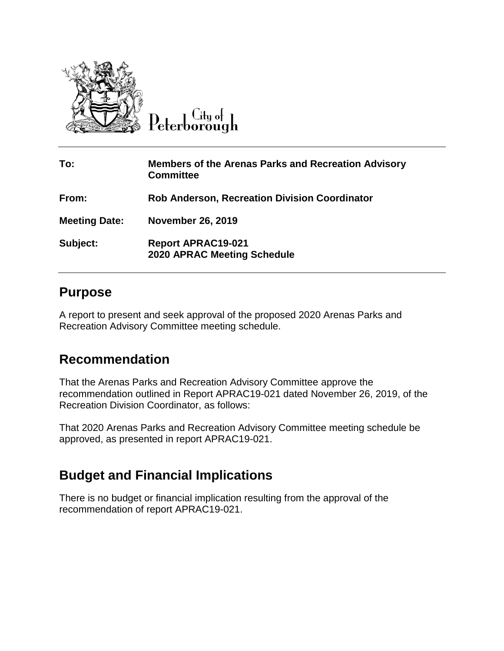

Peterborough

| To:                  | <b>Members of the Arenas Parks and Recreation Advisory</b><br><b>Committee</b> |
|----------------------|--------------------------------------------------------------------------------|
| From:                | <b>Rob Anderson, Recreation Division Coordinator</b>                           |
| <b>Meeting Date:</b> | <b>November 26, 2019</b>                                                       |
| Subject:             | <b>Report APRAC19-021</b><br><b>2020 APRAC Meeting Schedule</b>                |

## **Purpose**

A report to present and seek approval of the proposed 2020 Arenas Parks and Recreation Advisory Committee meeting schedule.

## **Recommendation**

That the Arenas Parks and Recreation Advisory Committee approve the recommendation outlined in Report APRAC19-021 dated November 26, 2019, of the Recreation Division Coordinator, as follows:

That 2020 Arenas Parks and Recreation Advisory Committee meeting schedule be approved, as presented in report APRAC19-021.

## **Budget and Financial Implications**

There is no budget or financial implication resulting from the approval of the recommendation of report APRAC19-021.